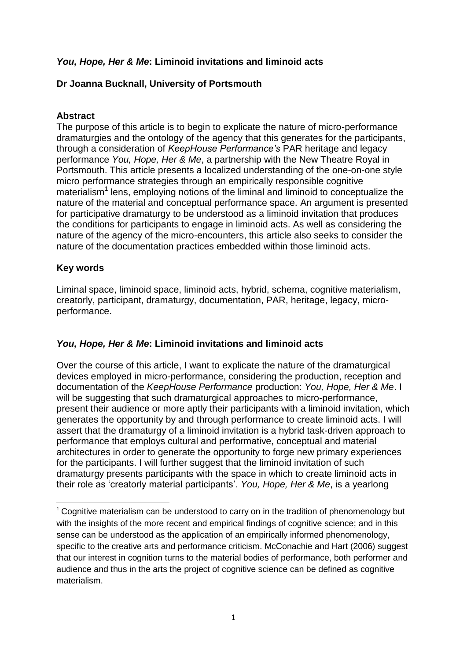# *You, Hope, Her & Me***: Liminoid invitations and liminoid acts**

## **Dr Joanna Bucknall, University of Portsmouth**

# **Abstract**

The purpose of this article is to begin to explicate the nature of micro-performance dramaturgies and the ontology of the agency that this generates for the participants, through a consideration of *KeepHouse Performance's* PAR heritage and legacy performance *You, Hope, Her & Me*, a partnership with the New Theatre Royal in Portsmouth. This article presents a localized understanding of the one-on-one style micro performance strategies through an empirically responsible cognitive materialism<sup>1</sup> lens, employing notions of the liminal and liminoid to conceptualize the nature of the material and conceptual performance space. An argument is presented for participative dramaturgy to be understood as a liminoid invitation that produces the conditions for participants to engage in liminoid acts. As well as considering the nature of the agency of the micro-encounters, this article also seeks to consider the nature of the documentation practices embedded within those liminoid acts.

## **Key words**

 $\overline{a}$ 

Liminal space, liminoid space, liminoid acts, hybrid, schema, cognitive materialism, creatorly, participant, dramaturgy, documentation, PAR, heritage, legacy, microperformance.

## *You, Hope, Her & Me***: Liminoid invitations and liminoid acts**

Over the course of this article, I want to explicate the nature of the dramaturgical devices employed in micro-performance, considering the production, reception and documentation of the *KeepHouse Performance* production: *You, Hope, Her & Me*. I will be suggesting that such dramaturgical approaches to micro-performance, present their audience or more aptly their participants with a liminoid invitation, which generates the opportunity by and through performance to create liminoid acts. I will assert that the dramaturgy of a liminoid invitation is a hybrid task-driven approach to performance that employs cultural and performative, conceptual and material architectures in order to generate the opportunity to forge new primary experiences for the participants. I will further suggest that the liminoid invitation of such dramaturgy presents participants with the space in which to create liminoid acts in their role as 'creatorly material participants'. *You, Hope, Her & Me*, is a yearlong

 $1$  Cognitive materialism can be understood to carry on in the tradition of phenomenology but with the insights of the more recent and empirical findings of cognitive science; and in this sense can be understood as the application of an empirically informed phenomenology, specific to the creative arts and performance criticism. McConachie and Hart (2006) suggest that our interest in cognition turns to the material bodies of performance, both performer and audience and thus in the arts the project of cognitive science can be defined as cognitive materialism.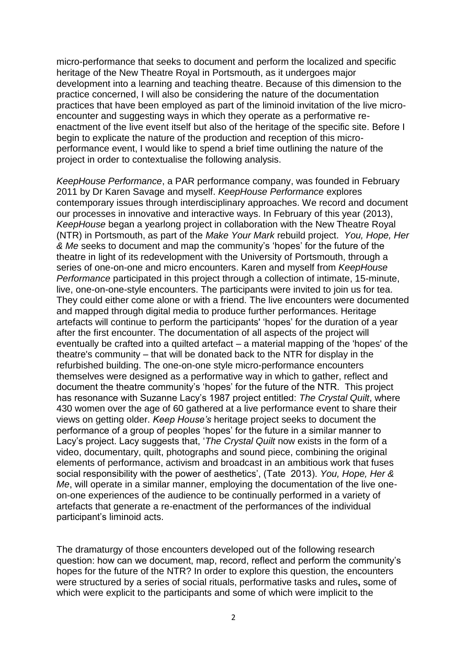micro-performance that seeks to document and perform the localized and specific heritage of the New Theatre Royal in Portsmouth, as it undergoes major development into a learning and teaching theatre. Because of this dimension to the practice concerned, I will also be considering the nature of the documentation practices that have been employed as part of the liminoid invitation of the live microencounter and suggesting ways in which they operate as a performative reenactment of the live event itself but also of the heritage of the specific site. Before I begin to explicate the nature of the production and reception of this microperformance event, I would like to spend a brief time outlining the nature of the project in order to contextualise the following analysis.

*KeepHouse Performance*, a PAR performance company, was founded in February 2011 by Dr Karen Savage and myself. *KeepHouse Performance* explores contemporary issues through interdisciplinary approaches. We record and document our processes in innovative and interactive ways. In February of this year (2013), *KeepHouse* began a yearlong project in collaboration with the New Theatre Royal (NTR) in Portsmouth, as part of the *Make Your Mark* rebuild project. *You, Hope, Her & Me* seeks to document and map the community's 'hopes' for the future of the theatre in light of its redevelopment with the University of Portsmouth, through a series of one-on-one and micro encounters. Karen and myself from *KeepHouse Performance* participated in this project through a collection of intimate, 15-minute, live, one-on-one-style encounters. The participants were invited to join us for tea. They could either come alone or with a friend. The live encounters were documented and mapped through digital media to produce further performances. Heritage artefacts will continue to perform the participants' 'hopes' for the duration of a year after the first encounter. The documentation of all aspects of the project will eventually be crafted into a quilted artefact – a material mapping of the 'hopes' of the theatre's community – that will be donated back to the NTR for display in the refurbished building. The one-on-one style micro-performance encounters themselves were designed as a performative way in which to gather, reflect and document the theatre community's 'hopes' for the future of the NTR. This project has resonance with Suzanne Lacy's 1987 project entitled: *The Crystal Quilt*, where 430 women over the age of 60 gathered at a live performance event to share their views on getting older. *Keep House's* heritage project seeks to document the performance of a group of peoples 'hopes' for the future in a similar manner to Lacy's project. Lacy suggests that, '*The Crystal Quilt* now exists in the form of a video, documentary, quilt, photographs and sound piece, combining the original elements of performance, activism and broadcast in an ambitious work that fuses social responsibility with the power of aesthetics', (Tate 2013). *You, Hope, Her & Me*, will operate in a similar manner, employing the documentation of the live oneon-one experiences of the audience to be continually performed in a variety of artefacts that generate a re-enactment of the performances of the individual participant's liminoid acts.

The dramaturgy of those encounters developed out of the following research question: how can we document, map, record, reflect and perform the community's hopes for the future of the NTR? In order to explore this question, the encounters were structured by a series of social rituals, performative tasks and rules**,** some of which were explicit to the participants and some of which were implicit to the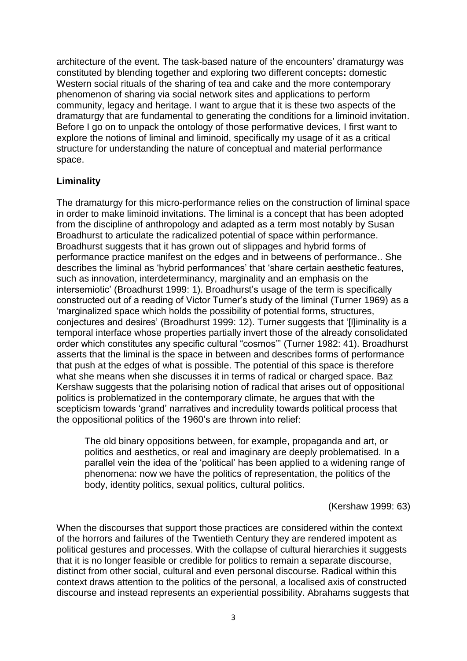architecture of the event. The task-based nature of the encounters' dramaturgy was constituted by blending together and exploring two different concepts**:** domestic Western social rituals of the sharing of tea and cake and the more contemporary phenomenon of sharing via social network sites and applications to perform community, legacy and heritage. I want to argue that it is these two aspects of the dramaturgy that are fundamental to generating the conditions for a liminoid invitation. Before I go on to unpack the ontology of those performative devices, I first want to explore the notions of liminal and liminoid, specifically my usage of it as a critical structure for understanding the nature of conceptual and material performance space.

### **Liminality**

The dramaturgy for this micro-performance relies on the construction of liminal space in order to make liminoid invitations. The liminal is a concept that has been adopted from the discipline of anthropology and adapted as a term most notably by Susan Broadhurst to articulate the radicalized potential of space within performance. Broadhurst suggests that it has grown out of slippages and hybrid forms of performance practice manifest on the edges and in betweens of performance.. She describes the liminal as 'hybrid performances' that 'share certain aesthetic features, such as innovation, interdeterminancy, marginality and an emphasis on the intersemiotic' (Broadhurst 1999: 1). Broadhurst's usage of the term is specifically constructed out of a reading of Victor Turner's study of the liminal (Turner 1969) as a 'marginalized space which holds the possibility of potential forms, structures, conjectures and desires' (Broadhurst 1999: 12). Turner suggests that '[l]iminality is a temporal interface whose properties partially invert those of the already consolidated order which constitutes any specific cultural "cosmos"' (Turner 1982: 41). Broadhurst asserts that the liminal is the space in between and describes forms of performance that push at the edges of what is possible. The potential of this space is therefore what she means when she discusses it in terms of radical or charged space. Baz Kershaw suggests that the polarising notion of radical that arises out of oppositional politics is problematized in the contemporary climate, he argues that with the scepticism towards 'grand' narratives and incredulity towards political process that the oppositional politics of the 1960's are thrown into relief:

The old binary oppositions between, for example, propaganda and art, or politics and aesthetics, or real and imaginary are deeply problematised. In a parallel vein the idea of the 'political' has been applied to a widening range of phenomena: now we have the politics of representation, the politics of the body, identity politics, sexual politics, cultural politics.

(Kershaw 1999: 63)

When the discourses that support those practices are considered within the context of the horrors and failures of the Twentieth Century they are rendered impotent as political gestures and processes. With the collapse of cultural hierarchies it suggests that it is no longer feasible or credible for politics to remain a separate discourse, distinct from other social, cultural and even personal discourse. Radical within this context draws attention to the politics of the personal, a localised axis of constructed discourse and instead represents an experiential possibility. Abrahams suggests that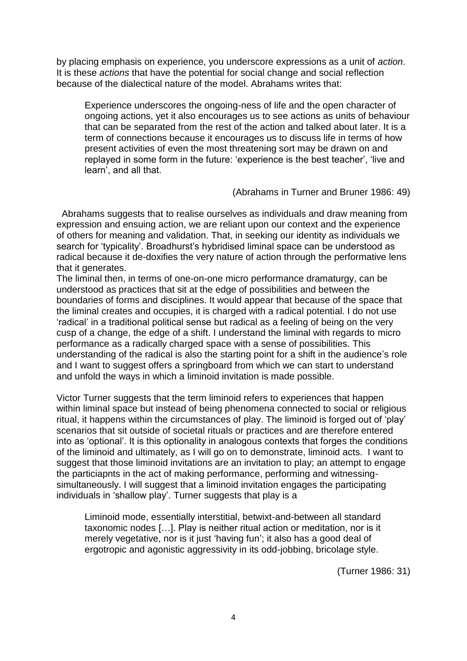by placing emphasis on experience, you underscore expressions as a unit of *action*. It is these *actions* that have the potential for social change and social reflection because of the dialectical nature of the model. Abrahams writes that:

Experience underscores the ongoing-ness of life and the open character of ongoing actions, yet it also encourages us to see actions as units of behaviour that can be separated from the rest of the action and talked about later. It is a term of connections because it encourages us to discuss life in terms of how present activities of even the most threatening sort may be drawn on and replayed in some form in the future: 'experience is the best teacher', 'live and learn', and all that.

#### (Abrahams in Turner and Bruner 1986: 49)

 Abrahams suggests that to realise ourselves as individuals and draw meaning from expression and ensuing action, we are reliant upon our context and the experience of others for meaning and validation. That, in seeking our identity as individuals we search for 'typicality'. Broadhurst's hybridised liminal space can be understood as radical because it de-doxifies the very nature of action through the performative lens that it generates.

The liminal then, in terms of one-on-one micro performance dramaturgy, can be understood as practices that sit at the edge of possibilities and between the boundaries of forms and disciplines. It would appear that because of the space that the liminal creates and occupies, it is charged with a radical potential. I do not use 'radical' in a traditional political sense but radical as a feeling of being on the very cusp of a change, the edge of a shift. I understand the liminal with regards to micro performance as a radically charged space with a sense of possibilities. This understanding of the radical is also the starting point for a shift in the audience's role and I want to suggest offers a springboard from which we can start to understand and unfold the ways in which a liminoid invitation is made possible.

Victor Turner suggests that the term liminoid refers to experiences that happen within liminal space but instead of being phenomena connected to social or religious ritual, it happens within the circumstances of play. The liminoid is forged out of 'play' scenarios that sit outside of societal rituals or practices and are therefore entered into as 'optional'. It is this optionality in analogous contexts that forges the conditions of the liminoid and ultimately, as I will go on to demonstrate, liminoid acts. I want to suggest that those liminoid invitations are an invitation to play; an attempt to engage the particiapnts in the act of making performance, performing and witnessingsimultaneously. I will suggest that a liminoid invitation engages the participating individuals in 'shallow play'. Turner suggests that play is a

Liminoid mode, essentially interstitial, betwixt-and-between all standard taxonomic nodes […]. Play is neither ritual action or meditation, nor is it merely vegetative, nor is it just 'having fun'; it also has a good deal of ergotropic and agonistic aggressivity in its odd-jobbing, bricolage style.

(Turner 1986: 31)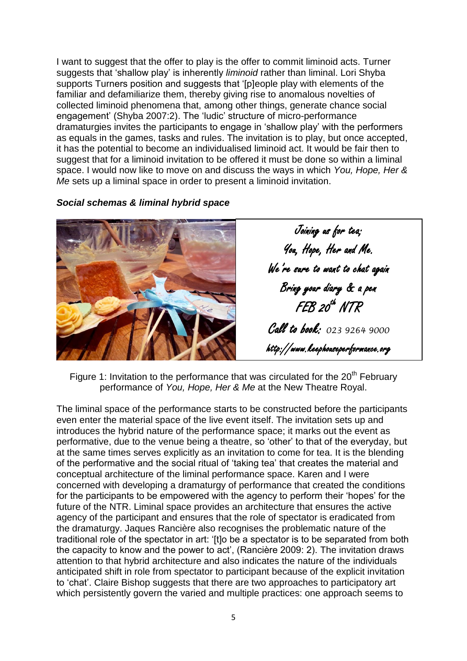I want to suggest that the offer to play is the offer to commit liminoid acts. Turner suggests that 'shallow play' is inherently *liminoid* rather than liminal. Lori Shyba supports Turners position and suggests that '[p]eople play with elements of the familiar and defamiliarize them, thereby giving rise to anomalous novelties of collected liminoid phenomena that, among other things, generate chance social engagement' (Shyba 2007:2). The 'ludic' structure of micro-performance dramaturgies invites the participants to engage in 'shallow play' with the performers as equals in the games, tasks and rules. The invitation is to play, but once accepted, it has the potential to become an individualised liminoid act. It would be fair then to suggest that for a liminoid invitation to be offered it must be done so within a liminal space. I would now like to move on and discuss the ways in which *You, Hope, Her & Me* sets up a liminal space in order to present a liminoid invitation.

### *Social schemas & liminal hybrid space*



Figure 1: Invitation to the performance that was circulated for the  $20<sup>th</sup>$  February performance of *You, Hope, Her & Me* at the New Theatre Royal.

The liminal space of the performance starts to be constructed before the participants even enter the material space of the live event itself. The invitation sets up and introduces the hybrid nature of the performance space; it marks out the event as performative, due to the venue being a theatre, so 'other' to that of the everyday, but at the same times serves explicitly as an invitation to come for tea. It is the blending of the performative and the social ritual of 'taking tea' that creates the material and conceptual architecture of the liminal performance space. Karen and I were concerned with developing a dramaturgy of performance that created the conditions for the participants to be empowered with the agency to perform their 'hopes' for the future of the NTR. Liminal space provides an architecture that ensures the active agency of the participant and ensures that the role of spectator is eradicated from the dramaturgy. Jaques Rancière also recognises the problematic nature of the traditional role of the spectator in art: '[t]o be a spectator is to be separated from both the capacity to know and the power to act', (Rancière 2009: 2). The invitation draws attention to that hybrid architecture and also indicates the nature of the individuals anticipated shift in role from spectator to participant because of the explicit invitation to 'chat'. Claire Bishop suggests that there are two approaches to participatory art which persistently govern the varied and multiple practices: one approach seems to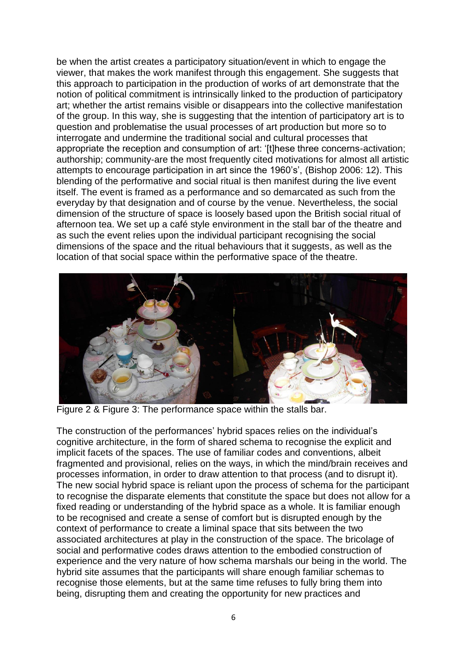be when the artist creates a participatory situation/event in which to engage the viewer, that makes the work manifest through this engagement. She suggests that this approach to participation in the production of works of art demonstrate that the notion of political commitment is intrinsically linked to the production of participatory art; whether the artist remains visible or disappears into the collective manifestation of the group. In this way, she is suggesting that the intention of participatory art is to question and problematise the usual processes of art production but more so to interrogate and undermine the traditional social and cultural processes that appropriate the reception and consumption of art: '[t]hese three concerns-activation; authorship; community-are the most frequently cited motivations for almost all artistic attempts to encourage participation in art since the 1960's', (Bishop 2006: 12). This blending of the performative and social ritual is then manifest during the live event itself. The event is framed as a performance and so demarcated as such from the everyday by that designation and of course by the venue. Nevertheless, the social dimension of the structure of space is loosely based upon the British social ritual of afternoon tea. We set up a café style environment in the stall bar of the theatre and as such the event relies upon the individual participant recognising the social dimensions of the space and the ritual behaviours that it suggests, as well as the location of that social space within the performative space of the theatre.



Figure 2 & Figure 3: The performance space within the stalls bar.

The construction of the performances' hybrid spaces relies on the individual's cognitive architecture, in the form of shared schema to recognise the explicit and implicit facets of the spaces. The use of familiar codes and conventions, albeit fragmented and provisional, relies on the ways, in which the mind/brain receives and processes information, in order to draw attention to that process (and to disrupt it). The new social hybrid space is reliant upon the process of schema for the participant to recognise the disparate elements that constitute the space but does not allow for a fixed reading or understanding of the hybrid space as a whole. It is familiar enough to be recognised and create a sense of comfort but is disrupted enough by the context of performance to create a liminal space that sits between the two associated architectures at play in the construction of the space. The bricolage of social and performative codes draws attention to the embodied construction of experience and the very nature of how schema marshals our being in the world. The hybrid site assumes that the participants will share enough familiar schemas to recognise those elements, but at the same time refuses to fully bring them into being, disrupting them and creating the opportunity for new practices and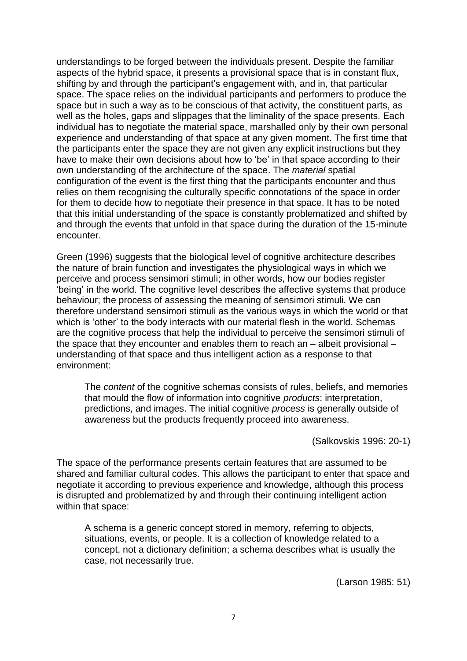understandings to be forged between the individuals present. Despite the familiar aspects of the hybrid space, it presents a provisional space that is in constant flux, shifting by and through the participant's engagement with, and in, that particular space. The space relies on the individual participants and performers to produce the space but in such a way as to be conscious of that activity, the constituent parts, as well as the holes, gaps and slippages that the liminality of the space presents. Each individual has to negotiate the material space, marshalled only by their own personal experience and understanding of that space at any given moment. The first time that the participants enter the space they are not given any explicit instructions but they have to make their own decisions about how to 'be' in that space according to their own understanding of the architecture of the space. The *material* spatial configuration of the event is the first thing that the participants encounter and thus relies on them recognising the culturally specific connotations of the space in order for them to decide how to negotiate their presence in that space. It has to be noted that this initial understanding of the space is constantly problematized and shifted by and through the events that unfold in that space during the duration of the 15-minute encounter.

Green (1996) suggests that the biological level of cognitive architecture describes the nature of brain function and investigates the physiological ways in which we perceive and process sensimori stimuli; in other words, how our bodies register 'being' in the world. The cognitive level describes the affective systems that produce behaviour; the process of assessing the meaning of sensimori stimuli. We can therefore understand sensimori stimuli as the various ways in which the world or that which is 'other' to the body interacts with our material flesh in the world. Schemas are the cognitive process that help the individual to perceive the sensimori stimuli of the space that they encounter and enables them to reach an – albeit provisional – understanding of that space and thus intelligent action as a response to that environment:

The *content* of the cognitive schemas consists of rules, beliefs, and memories that mould the flow of information into cognitive *products*: interpretation, predictions, and images. The initial cognitive *process* is generally outside of awareness but the products frequently proceed into awareness.

(Salkovskis 1996: 20-1)

The space of the performance presents certain features that are assumed to be shared and familiar cultural codes. This allows the participant to enter that space and negotiate it according to previous experience and knowledge, although this process is disrupted and problematized by and through their continuing intelligent action within that space:

A schema is a generic concept stored in memory, referring to objects, situations, events, or people. It is a collection of knowledge related to a concept, not a dictionary definition; a schema describes what is usually the case, not necessarily true.

(Larson 1985: 51)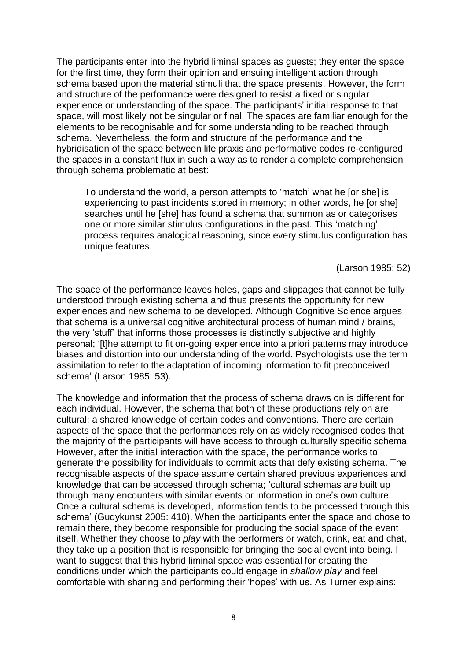The participants enter into the hybrid liminal spaces as guests; they enter the space for the first time, they form their opinion and ensuing intelligent action through schema based upon the material stimuli that the space presents. However, the form and structure of the performance were designed to resist a fixed or singular experience or understanding of the space. The participants' initial response to that space, will most likely not be singular or final. The spaces are familiar enough for the elements to be recognisable and for some understanding to be reached through schema. Nevertheless, the form and structure of the performance and the hybridisation of the space between life praxis and performative codes re-configured the spaces in a constant flux in such a way as to render a complete comprehension through schema problematic at best:

To understand the world, a person attempts to 'match' what he [or she] is experiencing to past incidents stored in memory; in other words, he [or she] searches until he [she] has found a schema that summon as or categorises one or more similar stimulus configurations in the past. This 'matching' process requires analogical reasoning, since every stimulus configuration has unique features.

(Larson 1985: 52)

The space of the performance leaves holes, gaps and slippages that cannot be fully understood through existing schema and thus presents the opportunity for new experiences and new schema to be developed. Although Cognitive Science argues that schema is a universal cognitive architectural process of human mind / brains, the very 'stuff' that informs those processes is distinctly subjective and highly personal; '[t]he attempt to fit on-going experience into a priori patterns may introduce biases and distortion into our understanding of the world. Psychologists use the term assimilation to refer to the adaptation of incoming information to fit preconceived schema' (Larson 1985: 53).

The knowledge and information that the process of schema draws on is different for each individual. However, the schema that both of these productions rely on are cultural: a shared knowledge of certain codes and conventions. There are certain aspects of the space that the performances rely on as widely recognised codes that the majority of the participants will have access to through culturally specific schema. However, after the initial interaction with the space, the performance works to generate the possibility for individuals to commit acts that defy existing schema. The recognisable aspects of the space assume certain shared previous experiences and knowledge that can be accessed through schema; 'cultural schemas are built up through many encounters with similar events or information in one's own culture. Once a cultural schema is developed, information tends to be processed through this schema' (Gudykunst 2005: 410). When the participants enter the space and chose to remain there, they become responsible for producing the social space of the event itself. Whether they choose to *play* with the performers or watch, drink, eat and chat, they take up a position that is responsible for bringing the social event into being. I want to suggest that this hybrid liminal space was essential for creating the conditions under which the participants could engage in *shallow play* and feel comfortable with sharing and performing their 'hopes' with us. As Turner explains: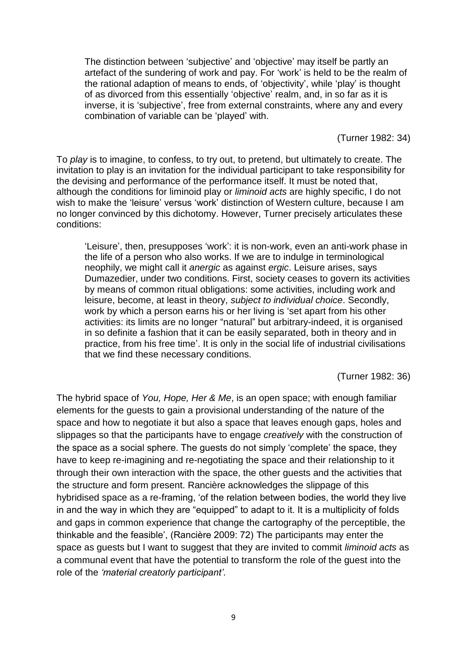The distinction between 'subjective' and 'objective' may itself be partly an artefact of the sundering of work and pay. For 'work' is held to be the realm of the rational adaption of means to ends, of 'objectivity', while 'play' is thought of as divorced from this essentially 'objective' realm, and, in so far as it is inverse, it is 'subjective', free from external constraints, where any and every combination of variable can be 'played' with.

(Turner 1982: 34)

To *play* is to imagine, to confess, to try out, to pretend, but ultimately to create. The invitation to play is an invitation for the individual participant to take responsibility for the devising and performance of the performance itself. It must be noted that, although the conditions for liminoid play or *liminoid acts* are highly specific, I do not wish to make the 'leisure' versus 'work' distinction of Western culture, because I am no longer convinced by this dichotomy. However, Turner precisely articulates these conditions:

'Leisure', then, presupposes 'work': it is non-work, even an anti-work phase in the life of a person who also works. If we are to indulge in terminological neophily, we might call it *anergic* as against *ergic*. Leisure arises, says Dumazedier, under two conditions. First, society ceases to govern its activities by means of common ritual obligations: some activities, including work and leisure, become, at least in theory, *subject to individual choice*. Secondly, work by which a person earns his or her living is 'set apart from his other activities: its limits are no longer "natural" but arbitrary-indeed, it is organised in so definite a fashion that it can be easily separated, both in theory and in practice, from his free time'. It is only in the social life of industrial civilisations that we find these necessary conditions.

(Turner 1982: 36)

The hybrid space of *You, Hope, Her & Me*, is an open space; with enough familiar elements for the guests to gain a provisional understanding of the nature of the space and how to negotiate it but also a space that leaves enough gaps, holes and slippages so that the participants have to engage *creatively* with the construction of the space as a social sphere. The guests do not simply 'complete' the space, they have to keep re-imagining and re-negotiating the space and their relationship to it through their own interaction with the space, the other guests and the activities that the structure and form present. Rancière acknowledges the slippage of this hybridised space as a re-framing, 'of the relation between bodies, the world they live in and the way in which they are "equipped" to adapt to it. It is a multiplicity of folds and gaps in common experience that change the cartography of the perceptible, the thinkable and the feasible', (Rancière 2009: 72) The participants may enter the space as guests but I want to suggest that they are invited to commit *liminoid acts* as a communal event that have the potential to transform the role of the guest into the role of the *'material creatorly participant'*.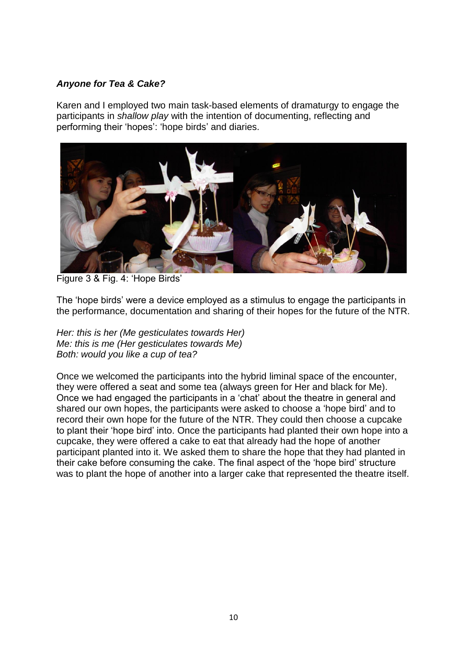### *Anyone for Tea & Cake?*

Karen and I employed two main task-based elements of dramaturgy to engage the participants in *shallow play* with the intention of documenting, reflecting and performing their 'hopes': 'hope birds' and diaries.



Figure 3 & Fig. 4: 'Hope Birds'

The 'hope birds' were a device employed as a stimulus to engage the participants in the performance, documentation and sharing of their hopes for the future of the NTR.

*Her: this is her (Me gesticulates towards Her) Me: this is me (Her gesticulates towards Me) Both: would you like a cup of tea?*

Once we welcomed the participants into the hybrid liminal space of the encounter, they were offered a seat and some tea (always green for Her and black for Me). Once we had engaged the participants in a 'chat' about the theatre in general and shared our own hopes, the participants were asked to choose a 'hope bird' and to record their own hope for the future of the NTR. They could then choose a cupcake to plant their 'hope bird' into. Once the participants had planted their own hope into a cupcake, they were offered a cake to eat that already had the hope of another participant planted into it. We asked them to share the hope that they had planted in their cake before consuming the cake. The final aspect of the 'hope bird' structure was to plant the hope of another into a larger cake that represented the theatre itself.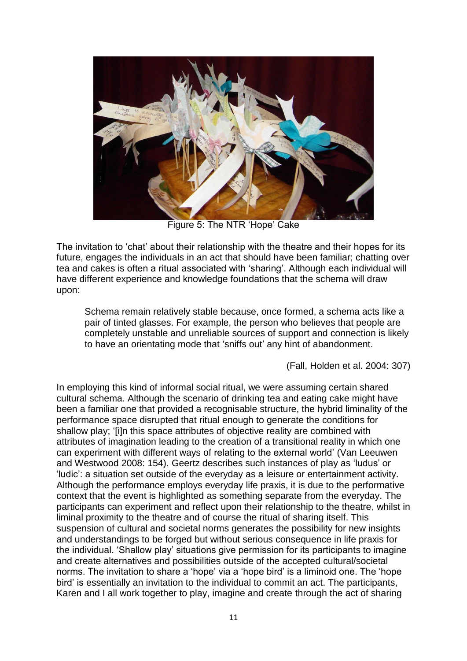

Figure 5: The NTR 'Hope' Cake

The invitation to 'chat' about their relationship with the theatre and their hopes for its future, engages the individuals in an act that should have been familiar; chatting over tea and cakes is often a ritual associated with 'sharing'. Although each individual will have different experience and knowledge foundations that the schema will draw upon:

Schema remain relatively stable because, once formed, a schema acts like a pair of tinted glasses. For example, the person who believes that people are completely unstable and unreliable sources of support and connection is likely to have an orientating mode that 'sniffs out' any hint of abandonment.

(Fall, Holden et al. 2004: 307)

In employing this kind of informal social ritual, we were assuming certain shared cultural schema. Although the scenario of drinking tea and eating cake might have been a familiar one that provided a recognisable structure, the hybrid liminality of the performance space disrupted that ritual enough to generate the conditions for shallow play; '[i]n this space attributes of objective reality are combined with attributes of imagination leading to the creation of a transitional reality in which one can experiment with different ways of relating to the external world' (Van Leeuwen and Westwood 2008: 154). Geertz describes such instances of play as 'ludus' or 'ludic': a situation set outside of the everyday as a leisure or entertainment activity. Although the performance employs everyday life praxis, it is due to the performative context that the event is highlighted as something separate from the everyday. The participants can experiment and reflect upon their relationship to the theatre, whilst in liminal proximity to the theatre and of course the ritual of sharing itself. This suspension of cultural and societal norms generates the possibility for new insights and understandings to be forged but without serious consequence in life praxis for the individual. 'Shallow play' situations give permission for its participants to imagine and create alternatives and possibilities outside of the accepted cultural/societal norms. The invitation to share a 'hope' via a 'hope bird' is a liminoid one. The 'hope bird' is essentially an invitation to the individual to commit an act. The participants, Karen and I all work together to play, imagine and create through the act of sharing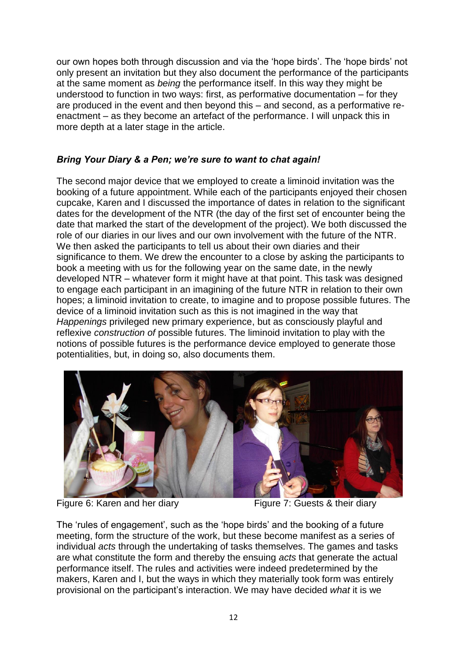our own hopes both through discussion and via the 'hope birds'. The 'hope birds' not only present an invitation but they also document the performance of the participants at the same moment as *being* the performance itself. In this way they might be understood to function in two ways: first, as performative documentation – for they are produced in the event and then beyond this – and second, as a performative reenactment – as they become an artefact of the performance. I will unpack this in more depth at a later stage in the article.

# *Bring Your Diary & a Pen; we're sure to want to chat again!*

The second major device that we employed to create a liminoid invitation was the booking of a future appointment. While each of the participants enjoyed their chosen cupcake, Karen and I discussed the importance of dates in relation to the significant dates for the development of the NTR (the day of the first set of encounter being the date that marked the start of the development of the project). We both discussed the role of our diaries in our lives and our own involvement with the future of the NTR. We then asked the participants to tell us about their own diaries and their significance to them. We drew the encounter to a close by asking the participants to book a meeting with us for the following year on the same date, in the newly developed NTR – whatever form it might have at that point. This task was designed to engage each participant in an imagining of the future NTR in relation to their own hopes; a liminoid invitation to create, to imagine and to propose possible futures. The device of a liminoid invitation such as this is not imagined in the way that *Happenings* privileged new primary experience, but as consciously playful and reflexive *construction of* possible futures. The liminoid invitation to play with the notions of possible futures is the performance device employed to generate those potentialities, but, in doing so, also documents them.



Figure 6: Karen and her diary Figure 7: Guests & their diary

The 'rules of engagement', such as the 'hope birds' and the booking of a future meeting, form the structure of the work, but these become manifest as a series of individual *acts* through the undertaking of tasks themselves. The games and tasks are what constitute the form and thereby the ensuing *acts* that generate the actual performance itself. The rules and activities were indeed predetermined by the makers, Karen and I, but the ways in which they materially took form was entirely provisional on the participant's interaction. We may have decided *what* it is we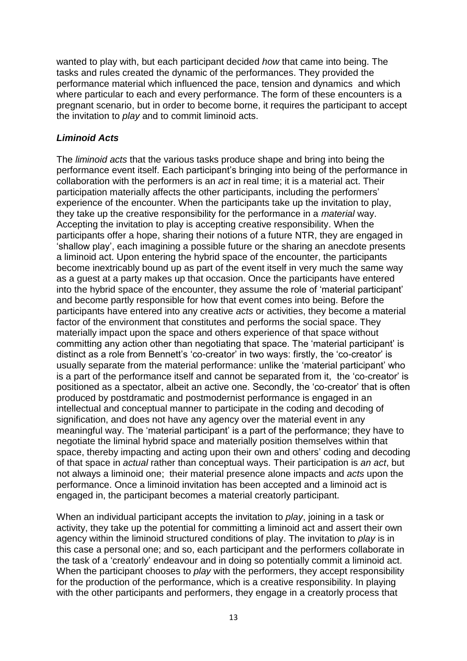wanted to play with, but each participant decided *how* that came into being. The tasks and rules created the dynamic of the performances. They provided the performance material which influenced the pace, tension and dynamics and which where particular to each and every performance. The form of these encounters is a pregnant scenario, but in order to become borne, it requires the participant to accept the invitation to *play* and to commit liminoid acts.

## *Liminoid Acts*

The *liminoid acts* that the various tasks produce shape and bring into being the performance event itself. Each participant's bringing into being of the performance in collaboration with the performers is an *act* in real time; it is a material act. Their participation materially affects the other participants, including the performers' experience of the encounter. When the participants take up the invitation to play, they take up the creative responsibility for the performance in a *material* way. Accepting the invitation to play is accepting creative responsibility. When the participants offer a hope, sharing their notions of a future NTR, they are engaged in 'shallow play', each imagining a possible future or the sharing an anecdote presents a liminoid act. Upon entering the hybrid space of the encounter, the participants become inextricably bound up as part of the event itself in very much the same way as a guest at a party makes up that occasion. Once the participants have entered into the hybrid space of the encounter, they assume the role of 'material participant' and become partly responsible for how that event comes into being. Before the participants have entered into any creative *acts* or activities, they become a material factor of the environment that constitutes and performs the social space. They materially impact upon the space and others experience of that space without committing any action other than negotiating that space. The 'material participant' is distinct as a role from Bennett's 'co-creator' in two ways: firstly, the 'co-creator' is usually separate from the material performance: unlike the 'material participant' who is a part of the performance itself and cannot be separated from it, the 'co-creator' is positioned as a spectator, albeit an active one. Secondly, the 'co-creator' that is often produced by postdramatic and postmodernist performance is engaged in an intellectual and conceptual manner to participate in the coding and decoding of signification, and does not have any agency over the material event in any meaningful way. The 'material participant' is a part of the performance; they have to negotiate the liminal hybrid space and materially position themselves within that space, thereby impacting and acting upon their own and others' coding and decoding of that space in *actual* rather than conceptual ways. Their participation is *an act*, but not always a liminoid one; their material presence alone impacts and *acts* upon the performance. Once a liminoid invitation has been accepted and a liminoid act is engaged in, the participant becomes a material creatorly participant.

When an individual participant accepts the invitation to *play*, joining in a task or activity, they take up the potential for committing a liminoid act and assert their own agency within the liminoid structured conditions of play. The invitation to *play* is in this case a personal one; and so, each participant and the performers collaborate in the task of a 'creatorly' endeavour and in doing so potentially commit a liminoid act. When the participant chooses to *play* with the performers, they accept responsibility for the production of the performance, which is a creative responsibility. In playing with the other participants and performers, they engage in a creatorly process that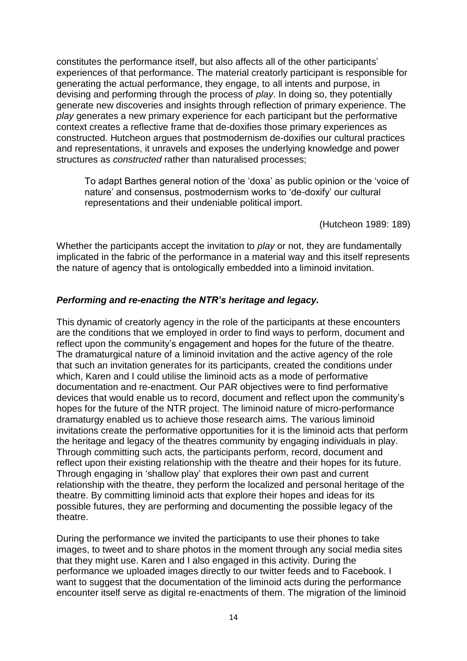constitutes the performance itself, but also affects all of the other participants' experiences of that performance. The material creatorly participant is responsible for generating the actual performance, they engage, to all intents and purpose, in devising and performing through the process of *play*. In doing so, they potentially generate new discoveries and insights through reflection of primary experience. The *play* generates a new primary experience for each participant but the performative context creates a reflective frame that de-doxifies those primary experiences as constructed. Hutcheon argues that postmodernism de-doxifies our cultural practices and representations, it unravels and exposes the underlying knowledge and power structures as *constructed* rather than naturalised processes;

To adapt Barthes general notion of the 'doxa' as public opinion or the 'voice of nature' and consensus, postmodernism works to 'de-doxify' our cultural representations and their undeniable political import.

(Hutcheon 1989: 189)

Whether the participants accept the invitation to *play* or not, they are fundamentally implicated in the fabric of the performance in a material way and this itself represents the nature of agency that is ontologically embedded into a liminoid invitation.

### *Performing and re-enacting the NTR's heritage and legacy.*

This dynamic of creatorly agency in the role of the participants at these encounters are the conditions that we employed in order to find ways to perform, document and reflect upon the community's engagement and hopes for the future of the theatre. The dramaturgical nature of a liminoid invitation and the active agency of the role that such an invitation generates for its participants, created the conditions under which, Karen and I could utilise the liminoid acts as a mode of performative documentation and re-enactment. Our PAR objectives were to find performative devices that would enable us to record, document and reflect upon the community's hopes for the future of the NTR project. The liminoid nature of micro-performance dramaturgy enabled us to achieve those research aims. The various liminoid invitations create the performative opportunities for it is the liminoid acts that perform the heritage and legacy of the theatres community by engaging individuals in play. Through committing such acts, the participants perform, record, document and reflect upon their existing relationship with the theatre and their hopes for its future. Through engaging in 'shallow play' that explores their own past and current relationship with the theatre, they perform the localized and personal heritage of the theatre. By committing liminoid acts that explore their hopes and ideas for its possible futures, they are performing and documenting the possible legacy of the theatre.

During the performance we invited the participants to use their phones to take images, to tweet and to share photos in the moment through any social media sites that they might use. Karen and I also engaged in this activity. During the performance we uploaded images directly to our twitter feeds and to Facebook. I want to suggest that the documentation of the liminoid acts during the performance encounter itself serve as digital re-enactments of them. The migration of the liminoid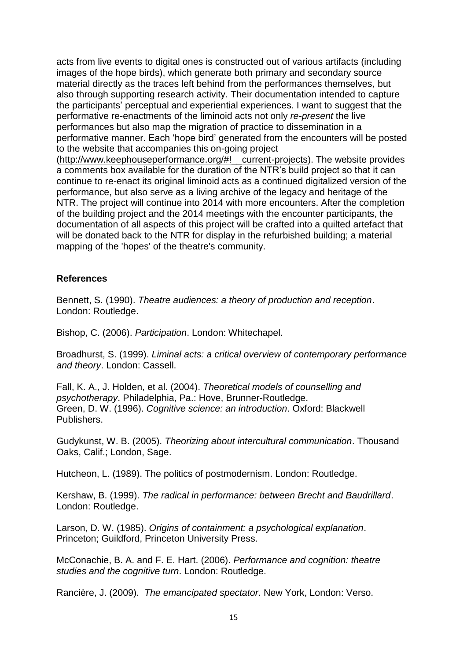acts from live events to digital ones is constructed out of various artifacts (including images of the hope birds), which generate both primary and secondary source material directly as the traces left behind from the performances themselves, but also through supporting research activity. Their documentation intended to capture the participants' perceptual and experiential experiences. I want to suggest that the performative re-enactments of the liminoid acts not only *re-present* the live performances but also map the migration of practice to dissemination in a performative manner. Each 'hope bird' generated from the encounters will be posted to the website that accompanies this on-going project

[\(http://www.keephouseperformance.org/#!\\_\\_current-projects\)](http://www.keephouseperformance.org/#!__current-projects). The website provides a comments box available for the duration of the NTR's build project so that it can continue to re-enact its original liminoid acts as a continued digitalized version of the performance, but also serve as a living archive of the legacy and heritage of the NTR. The project will continue into 2014 with more encounters. After the completion of the building project and the 2014 meetings with the encounter participants, the documentation of all aspects of this project will be crafted into a quilted artefact that will be donated back to the NTR for display in the refurbished building; a material mapping of the 'hopes' of the theatre's community.

### **References**

Bennett, S. (1990). *Theatre audiences: a theory of production and reception*. London: Routledge.

Bishop, C. (2006). *Participation*. London: Whitechapel.

Broadhurst, S. (1999). *Liminal acts: a critical overview of contemporary performance and theory*. London: Cassell.

Fall, K. A., J. Holden, et al. (2004). *Theoretical models of counselling and psychotherapy*. Philadelphia, Pa.: Hove, Brunner-Routledge. Green, D. W. (1996). *Cognitive science: an introduction*. Oxford: Blackwell Publishers.

Gudykunst, W. B. (2005). *Theorizing about intercultural communication*. Thousand Oaks, Calif.; London, Sage.

Hutcheon, L. (1989). The politics of postmodernism. London: Routledge.

Kershaw, B. (1999). *The radical in performance: between Brecht and Baudrillard*. London: Routledge.

Larson, D. W. (1985). *Origins of containment: a psychological explanation*. Princeton; Guildford, Princeton University Press.

McConachie, B. A. and F. E. Hart. (2006). *Performance and cognition: theatre studies and the cognitive turn*. London: Routledge.

Rancière, J. (2009). *The emancipated spectator*. New York, London: Verso.